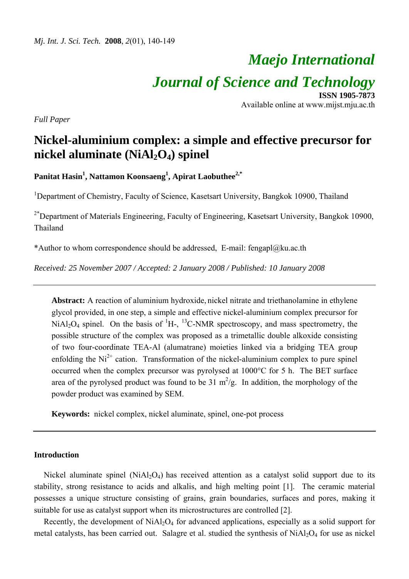# *Maejo International Journal of Science and Technology*  **ISSN 1905-7873**

Available online at www.mijst.mju.ac.th

*Full Paper* 

## **Nickel-aluminium complex: a simple and effective precursor for nickel aluminate (NiAl2O4) spinel**

**Panitat Hasin1 , Nattamon Koonsaeng<sup>1</sup> , Apirat Laobuthee2,\***

<sup>1</sup>Department of Chemistry, Faculty of Science, Kasetsart University, Bangkok 10900, Thailand

 $2*$ Department of Materials Engineering, Faculty of Engineering, Kasetsart University, Bangkok 10900, Thailand

\*Author to whom correspondence should be addressed, E-mail: fengapl@ku.ac.th

*Received: 25 November 2007 / Accepted: 2 January 2008 / Published: 10 January 2008* 

**Abstract:** A reaction of aluminium hydroxide, nickel nitrate and triethanolamine in ethylene glycol provided, in one step, a simple and effective nickel-aluminium complex precursor for  $NiAl<sub>2</sub>O<sub>4</sub>$  spinel. On the basis of  ${}^{1}H_{2}$ ,  ${}^{13}C_{2}NMR$  spectroscopy, and mass spectrometry, the possible structure of the complex was proposed as a trimetallic double alkoxide consisting of two four-coordinate TEA-Al (alumatrane) moieties linked via a bridging TEA group enfolding the  $Ni^{2+}$  cation. Transformation of the nickel-aluminium complex to pure spinel occurred when the complex precursor was pyrolysed at 1000°C for 5 h. The BET surface area of the pyrolysed product was found to be 31  $m^2/g$ . In addition, the morphology of the powder product was examined by SEM.

**Keywords:** nickel complex, nickel aluminate, spinel, one-pot process

#### **Introduction**

Nickel aluminate spinel (NiAl<sub>2</sub>O<sub>4</sub>) has received attention as a catalyst solid support due to its stability, strong resistance to acids and alkalis, and high melting point [1]. The ceramic material possesses a unique structure consisting of grains, grain boundaries, surfaces and pores, making it suitable for use as catalyst support when its microstructures are controlled [2].

Recently, the development of  $NiAl<sub>2</sub>O<sub>4</sub>$  for advanced applications, especially as a solid support for metal catalysts, has been carried out. Salagre et al. studied the synthesis of  $NiAl<sub>2</sub>O<sub>4</sub>$  for use as nickel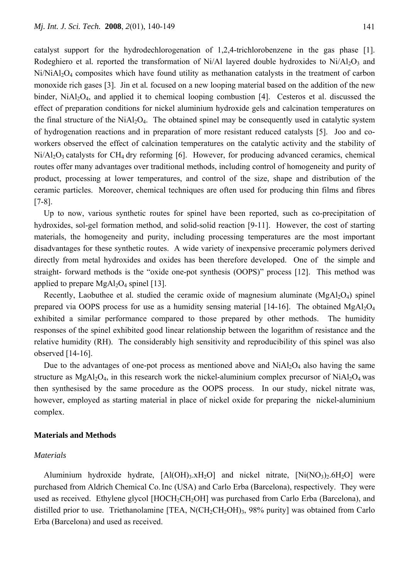catalyst support for the hydrodechlorogenation of 1,2,4-trichlorobenzene in the gas phase [1]. Rodeghiero et al. reported the transformation of  $Ni/Al$  layered double hydroxides to  $Ni/Al<sub>2</sub>O<sub>3</sub>$  and  $Ni/NiA<sub>2</sub>O<sub>4</sub>$  composites which have found utility as methanation catalysts in the treatment of carbon monoxide rich gases [3]. Jin et al*.* focused on a new looping material based on the addition of the new binder,  $NiAl<sub>2</sub>O<sub>4</sub>$ , and applied it to chemical looping combustion [4]. Cesteros et al. discussed the effect of preparation conditions for nickel aluminium hydroxide gels and calcination temperatures on the final structure of the  $NiAl<sub>2</sub>O<sub>4</sub>$ . The obtained spinel may be consequently used in catalytic system of hydrogenation reactions and in preparation of more resistant reduced catalysts [5]. Joo and coworkers observed the effect of calcination temperatures on the catalytic activity and the stability of  $Ni/Al_2O_3$  catalysts for CH<sub>4</sub> dry reforming [6]. However, for producing advanced ceramics, chemical routes offer many advantages over traditional methods, including control of homogeneity and purity of product, processing at lower temperatures, and control of the size, shape and distribution of the ceramic particles. Moreover, chemical techniques are often used for producing thin films and fibres [7-8].

Up to now, various synthetic routes for spinel have been reported, such as co-precipitation of hydroxides, sol-gel formation method, and solid-solid reaction [9-11]. However, the cost of starting materials, the homogeneity and purity, including processing temperatures are the most important disadvantages for these synthetic routes. A wide variety of inexpensive preceramic polymers derived directly from metal hydroxides and oxides has been therefore developed. One of the simple and straight- forward methods is the "oxide one-pot synthesis (OOPS)" process [12]. This method was applied to prepare  $MgAl<sub>2</sub>O<sub>4</sub>$  spinel [13].

Recently, Laobuthee et al. studied the ceramic oxide of magnesium aluminate  $(MgA<sub>1</sub>,Q<sub>4</sub>)$  spinel prepared via OOPS process for use as a humidity sensing material [14-16]. The obtained  $MgAl<sub>2</sub>O<sub>4</sub>$ exhibited a similar performance compared to those prepared by other methods. The humidity responses of the spinel exhibited good linear relationship between the logarithm of resistance and the relative humidity (RH). The considerably high sensitivity and reproducibility of this spinel was also observed [14-16].

Due to the advantages of one-pot process as mentioned above and  $NiAl<sub>2</sub>O<sub>4</sub>$  also having the same structure as  $MgA_2O_4$ , in this research work the nickel-aluminium complex precursor of  $NiA_2O_4$  was then synthesised by the same procedure as the OOPS process. In our study, nickel nitrate was, however, employed as starting material in place of nickel oxide for preparing the nickel-aluminium complex.

#### **Materials and Methods**

#### *Materials*

Aluminium hydroxide hydrate,  $[A(OH)_3.xH_2O]$  and nickel nitrate,  $[Ni(NO_3)_2.6H_2O]$  were purchased from Aldrich Chemical Co.Inc (USA) and Carlo Erba (Barcelona), respectively. They were used as received. Ethylene glycol [HOCH<sub>2</sub>CH<sub>2</sub>OH] was purchased from Carlo Erba (Barcelona), and distilled prior to use. Triethanolamine [TEA,  $NCH_2CH_2OH$ <sub>3</sub>, 98% purity] was obtained from Carlo Erba (Barcelona) and used as received.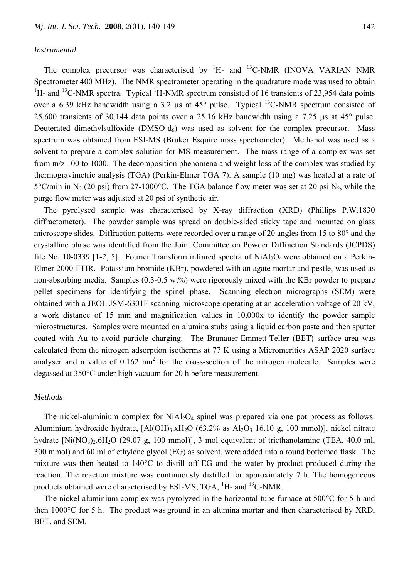The complex precursor was characterised by  ${}^{1}H$ - and  ${}^{13}C$ -NMR (INOVA VARIAN NMR Spectrometer 400 MHz). The NMR spectrometer operating in the quadrature mode was used to obtain <sup>1</sup>H- and <sup>13</sup>C-NMR spectra. Typical <sup>1</sup>H-NMR spectrum consisted of 16 transients of 23,954 data points over a 6.39 kHz bandwidth using a 3.2 μs at 45° pulse. Typical 13C-NMR spectrum consisted of 25,600 transients of 30,144 data points over a 25.16 kHz bandwidth using a 7.25 μs at 45° pulse. Deuterated dimethylsulfoxide  $(DMSO-d<sub>6</sub>)$  was used as solvent for the complex precursor. Mass spectrum was obtained from ESI-MS (Bruker Esquire mass spectrometer). Methanol was used as a solvent to prepare a complex solution for MS measurement. The mass range of a complex was set from m/z 100 to 1000. The decomposition phenomena and weight loss of the complex was studied by thermogravimetric analysis (TGA) (Perkin-Elmer TGA 7). A sample (10 mg) was heated at a rate of 5°C/min in N<sub>2</sub> (20 psi) from 27-1000°C. The TGA balance flow meter was set at 20 psi N<sub>2</sub>, while the purge flow meter was adjusted at 20 psi of synthetic air.

The pyrolysed sample was characterised by X-ray diffraction (XRD) (Phillips P.W.1830 diffractometer). The powder sample was spread on double-sided sticky tape and mounted on glass microscope slides. Diffraction patterns were recorded over a range of 2θ angles from 15 to 80° and the crystalline phase was identified from the Joint Committee on Powder Diffraction Standards (JCPDS) file No. 10-0339 [1-2, 5]. Fourier Transform infrared spectra of  $NiAl<sub>2</sub>O<sub>4</sub>$  were obtained on a Perkin-Elmer 2000-FTIR. Potassium bromide (KBr), powdered with an agate mortar and pestle, was used as non-absorbing media. Samples (0.3-0.5 wt%) were rigorously mixed with the KBr powder to prepare pellet specimens for identifying the spinel phase.Scanning electron micrographs (SEM) were obtained with a JEOL JSM-6301F scanning microscope operating at an acceleration voltage of 20 kV, a work distance of 15 mm and magnification values in 10,000x to identify the powder sample microstructures. Samples were mounted on alumina stubs using a liquid carbon paste and then sputter coated with Au to avoid particle charging.The Brunauer-Emmett-Teller (BET) surface area was calculated from the nitrogen adsorption isotherms at 77 K using a Micromeritics ASAP 2020 surface analyser and a value of  $0.162 \text{ nm}^2$  for the cross-section of the nitrogen molecule. Samples were degassed at 350°C under high vacuum for 20 h before measurement.

## *Methods*

The nickel-aluminium complex for  $NiAl<sub>2</sub>O<sub>4</sub>$  spinel was prepared via one pot process as follows. Aluminium hydroxide hydrate,  $[A(OH)_3.xH_2O (63.2\%$  as  $Al_2O_3 16.10$  g, 100 mmol)], nickel nitrate hydrate  $[Ni(NO_3)_2.6H_2O (29.07 g, 100 mmol)]$ , 3 mol equivalent of triethanolamine (TEA, 40.0 ml, 300 mmol) and 60 ml of ethylene glycol (EG) as solvent, were added into a round bottomed flask. The mixture was then heated to 140°C to distill off EG and the water by-product produced during the reaction. The reaction mixture was continuously distilled for approximately 7 h. The homogeneous products obtained were characterised by ESI-MS, TGA,  ${}^{1}$ H- and  ${}^{13}$ C-NMR.

The nickel-aluminium complex was pyrolyzed in the horizontal tube furnace at 500°C for 5 h and then 1000°C for 5 h. The product was ground in an alumina mortar and then characterised by XRD, BET, and SEM.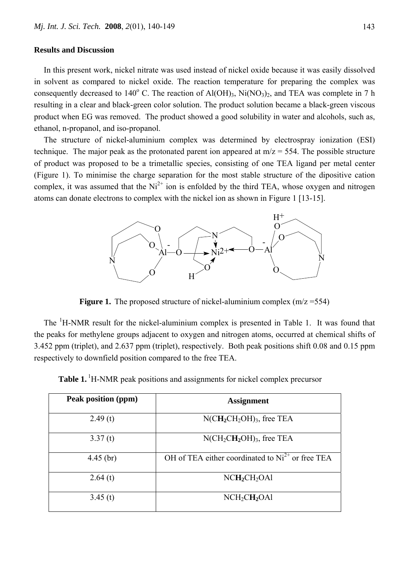#### **Results and Discussion**

In this present work, nickel nitrate was used instead of nickel oxide because it was easily dissolved in solvent as compared to nickel oxide. The reaction temperature for preparing the complex was consequently decreased to 140 $^{\circ}$  C. The reaction of Al(OH)<sub>3</sub>, Ni(NO<sub>3</sub>)<sub>2</sub>, and TEA was complete in 7 h resulting in a clear and black-green color solution. The product solution became a black-green viscous product when EG was removed. The product showed a good solubility in water and alcohols, such as, ethanol, n-propanol, and iso-propanol.

The structure of nickel-aluminium complex was determined by electrospray ionization (ESI) technique. The major peak as the protonated parent ion appeared at  $m/z = 554$ . The possible structure of product was proposed to be a trimetallic species, consisting of one TEA ligand per metal center (Figure 1). To minimise the charge separation for the most stable structure of the dipositive cation complex, it was assumed that the  $Ni^{2+}$  ion is enfolded by the third TEA, whose oxygen and nitrogen atoms can donate electrons to complex with the nickel ion as shown in Figure 1 [13-15].



**Figure 1.** The proposed structure of nickel-aluminium complex (m/z = 554)

The <sup>1</sup>H-NMR result for the nickel-aluminium complex is presented in Table 1. It was found that the peaks for methylene groups adjacent to oxygen and nitrogen atoms, occurred at chemical shifts of 3.452 ppm (triplet), and 2.637 ppm (triplet), respectively. Both peak positions shift 0.08 and 0.15 ppm respectively to downfield position compared to the free TEA.

| Peak position (ppm) | <b>Assignment</b>                                  |
|---------------------|----------------------------------------------------|
| 2.49(t)             | $N(CH_2CH_2OH)_3$ , free TEA                       |
| 3.37(t)             | $N(CH_2CH_2OH)_{3}$ , free TEA                     |
| $4.45$ (br)         | OH of TEA either coordinated to $Ni2+$ or free TEA |
| 2.64(t)             | NCH <sub>2</sub> CH <sub>2</sub> OA1               |
| 3.45(t)             | NCH <sub>2</sub> CH <sub>2</sub> OA1               |

**Table 1.** <sup>1</sup>H-NMR peak positions and assignments for nickel complex precursor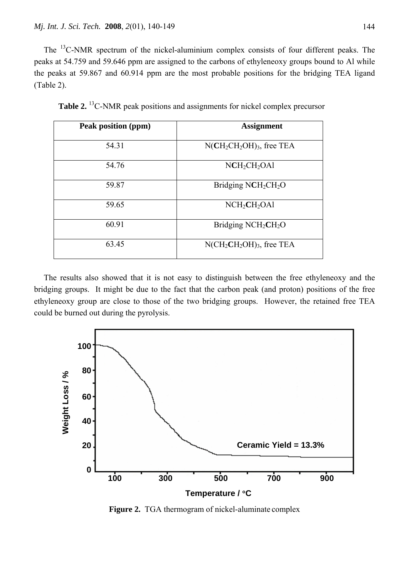The <sup>13</sup>C-NMR spectrum of the nickel-aluminium complex consists of four different peaks. The peaks at 54.759 and 59.646 ppm are assigned to the carbons of ethyleneoxy groups bound to Al while the peaks at 59.867 and 60.914 ppm are the most probable positions for the bridging TEA ligand (Table 2).

| Peak position (ppm) | <b>Assignment</b>                       |
|---------------------|-----------------------------------------|
| 54.31               | $N(CH_2CH_2OH)$ <sub>3</sub> , free TEA |
| 54.76               | $NCH_2CH_2OA1$                          |
| 59.87               | Bridging $NCH_2CH_2O$                   |
| 59.65               | NCH <sub>2</sub> CH <sub>2</sub> OA1    |
| 60.91               | Bridging $NCH2CH2O$                     |
| 63.45               | $N(CH_2CH_2OH)_{3}$ , free TEA          |

Table 2.<sup>13</sup>C-NMR peak positions and assignments for nickel complex precursor

The results also showed that it is not easy to distinguish between the free ethyleneoxy and the bridging groups. It might be due to the fact that the carbon peak (and proton) positions of the free ethyleneoxy group are close to those of the two bridging groups. However, the retained free TEA could be burned out during the pyrolysis.



**Figure 2.** TGA thermogram of nickel-aluminate complex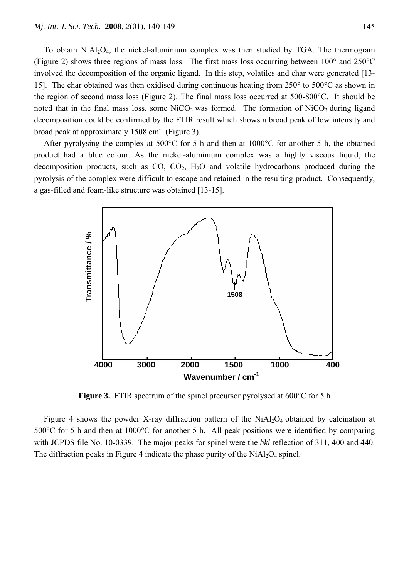To obtain  $N(A_1)O_4$ , the nickel-aluminium complex was then studied by TGA. The thermogram (Figure 2) shows three regions of mass loss. The first mass loss occurring between 100° and 250°C involved the decomposition of the organic ligand. In this step, volatiles and char were generated [13- 15]. The char obtained was then oxidised during continuous heating from 250° to 500°C as shown in the region of second mass loss (Figure 2). The final mass loss occurred at 500-800°C. It should be noted that in the final mass loss, some  $NiCO<sub>3</sub>$  was formed. The formation of  $NiCO<sub>3</sub>$  during ligand decomposition could be confirmed by the FTIR result which shows a broad peak of low intensity and broad peak at approximately 1508 cm<sup>-1</sup> (Figure 3).

After pyrolysing the complex at 500°C for 5 h and then at 1000°C for another 5 h, the obtained product had a blue colour. As the nickel-aluminium complex was a highly viscous liquid, the decomposition products, such as  $CO$ ,  $CO<sub>2</sub>$ ,  $H<sub>2</sub>O$  and volatile hydrocarbons produced during the pyrolysis of the complex were difficult to escape and retained in the resulting product. Consequently, a gas-filled and foam-like structure was obtained [13-15].



**Figure 3.** FTIR spectrum of the spinel precursor pyrolysed at 600<sup>o</sup>C for 5 h

Figure 4 shows the powder X-ray diffraction pattern of the  $NiAl<sub>2</sub>O<sub>4</sub>$  obtained by calcination at 500°C for 5 h and then at 1000°C for another 5 h. All peak positions were identified by comparing with JCPDS file No. 10-0339. The major peaks for spinel were the *hkl* reflection of 311, 400 and 440.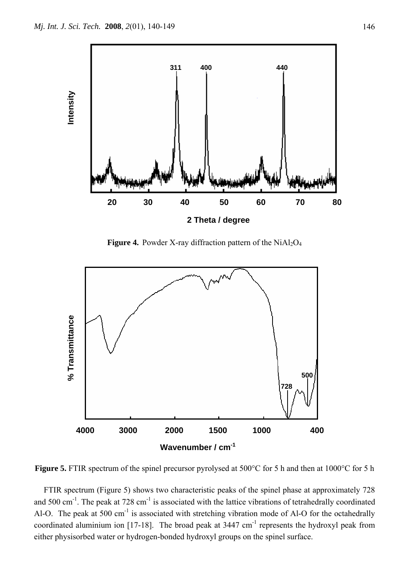

**Figure 4.** Powder X-ray diffraction pattern of the  $NiAl<sub>2</sub>O<sub>4</sub>$ 



**Figure 5.** FTIR spectrum of the spinel precursor pyrolysed at 500°C for 5 h and then at 1000°C for 5 h

FTIR spectrum (Figure 5) shows two characteristic peaks of the spinel phase at approximately 728 and 500 cm<sup>-1</sup>. The peak at 728 cm<sup>-1</sup> is associated with the lattice vibrations of tetrahedrally coordinated Al-O. The peak at 500 cm<sup>-1</sup> is associated with stretching vibration mode of Al-O for the octahedrally coordinated aluminium ion  $[17-18]$ . The broad peak at 3447 cm<sup>-1</sup> represents the hydroxyl peak from either physisorbed water or hydrogen-bonded hydroxyl groups on the spinel surface.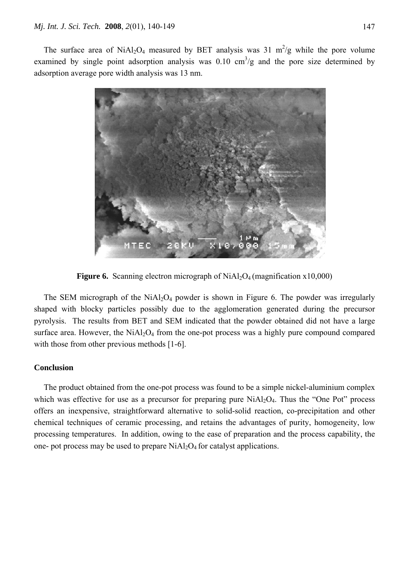The surface area of NiAl<sub>2</sub>O<sub>4</sub> measured by BET analysis was 31 m<sup>2</sup>/g while the pore volume examined by single point adsorption analysis was  $0.10 \text{ cm}^3/\text{g}$  and the pore size determined by adsorption average pore width analysis was 13 nm.



**Figure 6.** Scanning electron micrograph of NiAl<sub>2</sub>O<sub>4</sub> (magnification x10,000)

The SEM micrograph of the  $NiAl<sub>2</sub>O<sub>4</sub>$  powder is shown in Figure 6. The powder was irregularly shaped with blocky particles possibly due to the agglomeration generated during the precursor pyrolysis. The results from BET and SEM indicated that the powder obtained did not have a large surface area. However, the  $NiAl<sub>2</sub>O<sub>4</sub>$  from the one-pot process was a highly pure compound compared with those from other previous methods [1-6].

## **Conclusion**

The product obtained from the one-pot process was found to be a simple nickel-aluminium complex which was effective for use as a precursor for preparing pure  $NiAl<sub>2</sub>O<sub>4</sub>$ . Thus the "One Pot" process offers an inexpensive, straightforward alternative to solid-solid reaction, co-precipitation and other chemical techniques of ceramic processing, and retains the advantages of purity, homogeneity, low processing temperatures. In addition, owing to the ease of preparation and the process capability, the one- pot process may be used to prepare  $NiAl<sub>2</sub>O<sub>4</sub>$  for catalyst applications.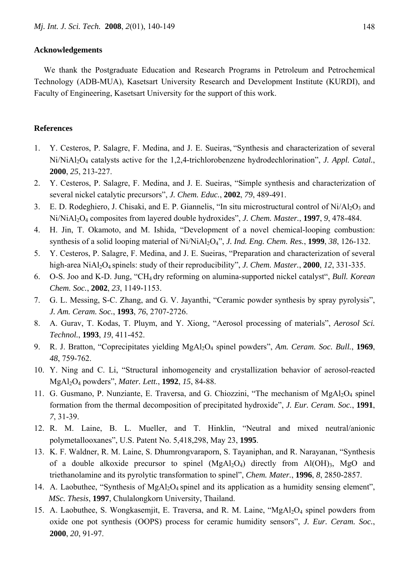### **Acknowledgements**

We thank the Postgraduate Education and Research Programs in Petroleum and Petrochemical Technology (ADB-MUA), Kasetsart University Research and Development Institute (KURDI), and Faculty of Engineering, Kasetsart University for the support of this work.

## **References**

- 1. Y. Cesteros, P. Salagre, F. Medina, and J. E. Sueiras, "Synthesis and characterization of several Ni/NiAl2O4 catalysts active for the 1,2,4-trichlorobenzene hydrodechlorination", *J. Appl. Catal.*, **2000**, *25*, 213-227.
- 2. Y. Cesteros, P. Salagre, F. Medina, and J. E. Sueiras, "Simple synthesis and characterization of several nickel catalytic precursors", *J. Chem. Educ.*, **2002**, *79*, 489-491.
- 3. E. D. Rodeghiero, J. Chisaki, and E. P. Giannelis, "In situ microstructural control of  $Ni/Al<sub>2</sub>O<sub>3</sub>$  and Ni/NiAl2O4 composites from layered double hydroxides", *J. Chem. Master.*, **1997**, *9*, 478-484.
- 4. H. Jin, T. Okamoto, and M. Ishida, "Development of a novel chemical-looping combustion: synthesis of a solid looping material of Ni/NiAl2O4", *J. Ind. Eng. Chem. Res.*, **1999**, *38*, 126-132.
- 5. Y. Cesteros, P. Salagre, F. Medina, and J. E. Sueiras, "Preparation and characterization of several high-area NiAl2O4 spinels: study of their reproducibility", *J. Chem. Master.*, **2000**, *12*, 331-335.
- 6. O-S. Joo and K-D. Jung, "CH4 dry reforming on alumina-supported nickel catalyst", *Bull. Korean Chem. Soc.*, **2002**, *23*, 1149-1153.
- 7. G. L. Messing, S-C. Zhang, and G. V. Jayanthi, "Ceramic powder synthesis by spray pyrolysis", *J. Am. Ceram. Soc.*, **1993**, *76*, 2707-2726.
- 8. A. Gurav, T. Kodas, T. Pluym, and Y. Xiong, "Aerosol processing of materials", *Aerosol Sci. Technol.*, **1993**, *19*, 411-452.
- 9. R. J. Bratton, "Coprecipitates yielding MgAl2O4 spinel powders", *Am. Ceram. Soc. Bull.*, **1969**, *48*, 759-762.
- 10. Y. Ning and C. Li, "Structural inhomogeneity and crystallization behavior of aerosol-reacted MgAl2O4 powders", *Mater. Lett.*, **1992**, *15*, 84-88.
- 11. G. Gusmano, P. Nunziante, E. Traversa, and G. Chiozzini, "The mechanism of MgAl<sub>2</sub>O<sub>4</sub> spinel formation from the thermal decomposition of precipitated hydroxide", *J. Eur. Ceram. Soc.*, **1991**, *7*, 31-39.
- 12. R. M. Laine, B. L. Mueller, and T. Hinklin, "Neutral and mixed neutral/anionic polymetallooxanes", U.S. Patent No. 5,418,298, May 23, **1995**.
- 13. K. F. Waldner, R. M. Laine, S. Dhumrongvaraporn, S. Tayaniphan, and R. Narayanan, "Synthesis of a double alkoxide precursor to spinel  $(MgAl<sub>2</sub>O<sub>4</sub>)$  directly from Al(OH)<sub>3</sub>, MgO and triethanolamine and its pyrolytic transformation to spinel", *Chem. Mater.*, **1996**, *8*, 2850-2857.
- 14. A. Laobuthee, "Synthesis of MgAl<sub>2</sub>O<sub>4</sub> spinel and its application as a humidity sensing element", *MSc. Thesis*, **1997**, Chulalongkorn University, Thailand.
- 15. A. Laobuthee, S. Wongkasemjit, E. Traversa, and R. M. Laine, "MgAl<sub>2</sub>O<sub>4</sub> spinel powders from oxide one pot synthesis (OOPS) process for ceramic humidity sensors", *J. Eur. Ceram. Soc.*, **2000**, *20*, 91-97.